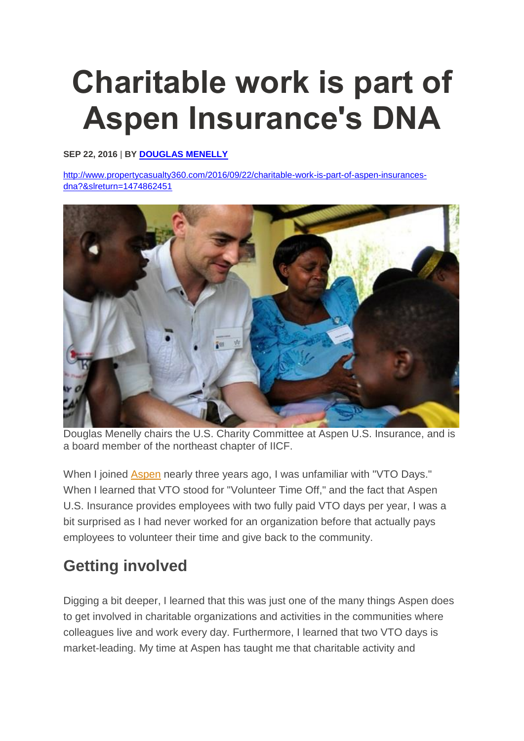## **Charitable work is part of Aspen Insurance's DNA**

## **SEP 22, 2016** | **BY [DOUGLAS MENELLY](http://www.propertycasualty360.com/author/douglas-menelly)**

[http://www.propertycasualty360.com/2016/09/22/charitable-work-is-part-of-aspen-insurances](http://www.propertycasualty360.com/2016/09/22/charitable-work-is-part-of-aspen-insurances-dna?&slreturn=1474862451)[dna?&slreturn=1474862451](http://www.propertycasualty360.com/2016/09/22/charitable-work-is-part-of-aspen-insurances-dna?&slreturn=1474862451)



Douglas Menelly chairs the U.S. Charity Committee at Aspen U.S. Insurance, and is a board member of the northeast chapter of IICF.

When I joined **[Aspen](https://www.aspen.co/Insurance/)** nearly three years ago, I was unfamiliar with "VTO Days." When I learned that VTO stood for "Volunteer Time Off," and the fact that Aspen U.S. Insurance provides employees with two fully paid VTO days per year, I was a bit surprised as I had never worked for an organization before that actually pays employees to volunteer their time and give back to the community.

## **Getting involved**

Digging a bit deeper, I learned that this was just one of the many things Aspen does to get involved in charitable organizations and activities in the communities where colleagues live and work every day. Furthermore, I learned that two VTO days is market-leading. My time at Aspen has taught me that charitable activity and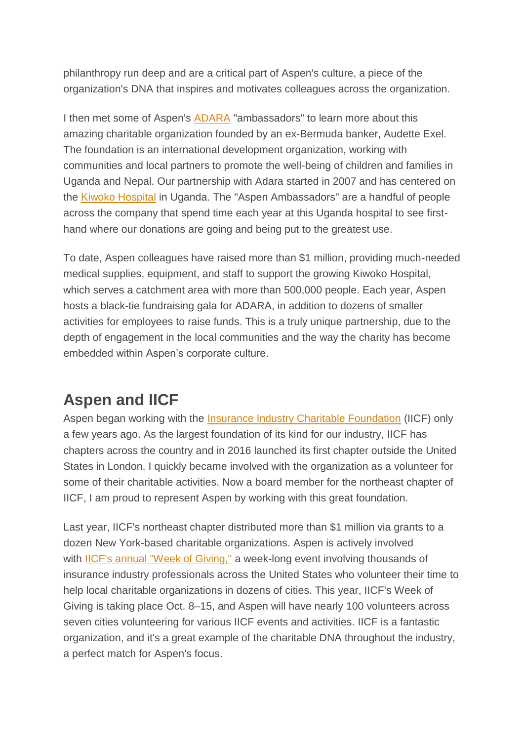philanthropy run deep and are a critical part of Aspen's culture, a piece of the organization's DNA that inspires and motivates colleagues across the organization.

I then met some of Aspen's **[ADARA](http://www.adaragroup.org/about-us/)** "ambassadors" to learn more about this amazing charitable organization founded by an ex-Bermuda banker, Audette Exel. The foundation is an international development organization, working with communities and local partners to promote the well-being of children and families in Uganda and Nepal. Our partnership with Adara started in 2007 and has centered on the [Kiwoko Hospital](https://www.google.co.uk/maps/place/Kiwoko+Hospital/@0.8459525,32.223724,8z/data=!4m2!3m1!1s0x177c6208d89c5363:0x3ee9010139b8cf15) in Uganda. The "Aspen Ambassadors" are a handful of people across the company that spend time each year at this Uganda hospital to see firsthand where our donations are going and being put to the greatest use.

To date, Aspen colleagues have raised more than \$1 million, providing much-needed medical supplies, equipment, and staff to support the growing Kiwoko Hospital, which serves a catchment area with more than 500,000 people. Each year, Aspen hosts a black-tie fundraising gala for ADARA, in addition to dozens of smaller activities for employees to raise funds. This is a truly unique partnership, due to the depth of engagement in the local communities and the way the charity has become embedded within Aspen's corporate culture.

## **Aspen and IICF**

Aspen began working with the [Insurance Industry Charitable Foundation](http://www.iicf.org/) (IICF) only a few years ago. As the largest foundation of its kind for our industry, IICF has chapters across the country and in 2016 launched its first chapter outside the United States in London. I quickly became involved with the organization as a volunteer for some of their charitable activities. Now a board member for the northeast chapter of IICF, I am proud to represent Aspen by working with this great foundation.

Last year, IICF's northeast chapter distributed more than \$1 million via grants to a dozen New York-based charitable organizations. Aspen is actively involved with [IICF's annual "Week of Giving,"](https://ec.samaritan.com/recruiter/index.php?class=VolunteerNavigation&recruiterID=1513&act=CONTROL:OPP_SEARCH_LINK) a week-long event involving thousands of insurance industry professionals across the United States who volunteer their time to help local charitable organizations in dozens of cities. This year, IICF's Week of Giving is taking place Oct. 8–15, and Aspen will have nearly 100 volunteers across seven cities volunteering for various IICF events and activities. IICF is a fantastic organization, and it's a great example of the charitable DNA throughout the industry, a perfect match for Aspen's focus.